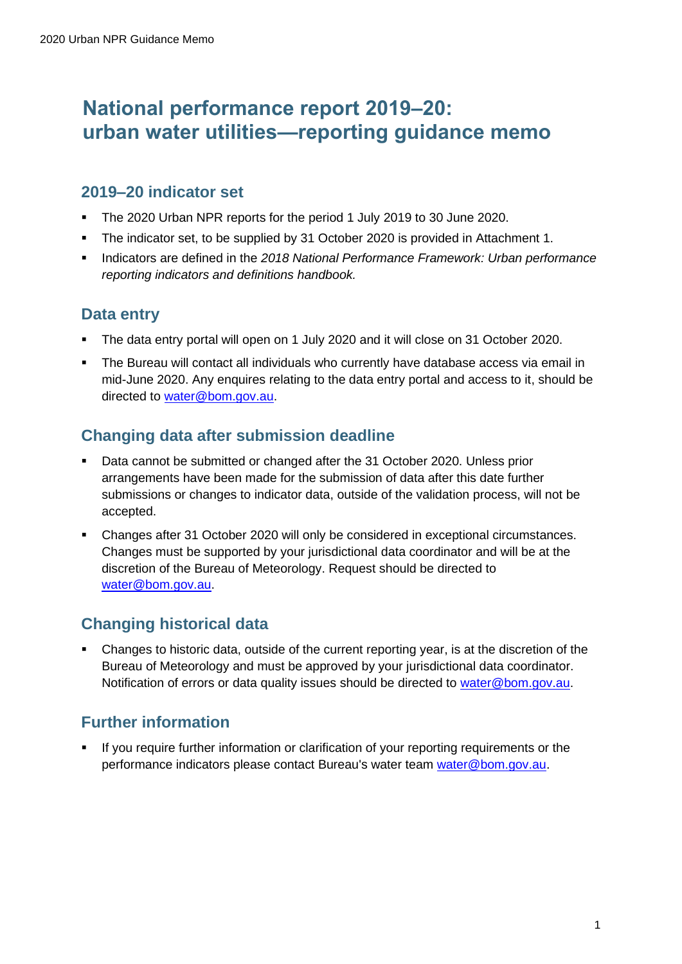# **National performance report 2019–20: urban water utilities—reporting guidance memo**

#### **2019–20 indicator set**

- The 2020 Urban NPR reports for the period 1 July 2019 to 30 June 2020.
- The indicator set, to be supplied by 31 October 2020 is provided in Attachment 1.
- Indicators are defined in the 2018 National Performance Framework: Urban performance *reporting indicators and definitions handbook.*

#### **Data entry**

- The data entry portal will open on 1 July 2020 and it will close on 31 October 2020.
- The Bureau will contact all individuals who currently have database access via email in mid-June 2020. Any enquires relating to the data entry portal and access to it, should be directed to water@bom.gov.au.

#### **Changing data after submission deadline**

- Data cannot be submitted or changed after the 31 October 2020. Unless prior arrangements have been made for the submission of data after this date further submissions or changes to indicator data, outside of the validation process, will not be accepted.
- Changes after 31 October 2020 will only be considered in exceptional circumstances. Changes must be supported by your jurisdictional data coordinator and will be at the discretion of the Bureau of Meteorology. Request should be directed to water@bom.gov.au.

## **Changing historical data**

▪ Changes to historic data, outside of the current reporting year, is at the discretion of the Bureau of Meteorology and must be approved by your jurisdictional data coordinator. Notification of errors or data quality issues should be directed to water@bom.gov.au.

## **Further information**

If you require further information or clarification of your reporting requirements or the performance indicators please contact Bureau's water team [water@bom.gov.au.](mailto:water@bom.gov.au)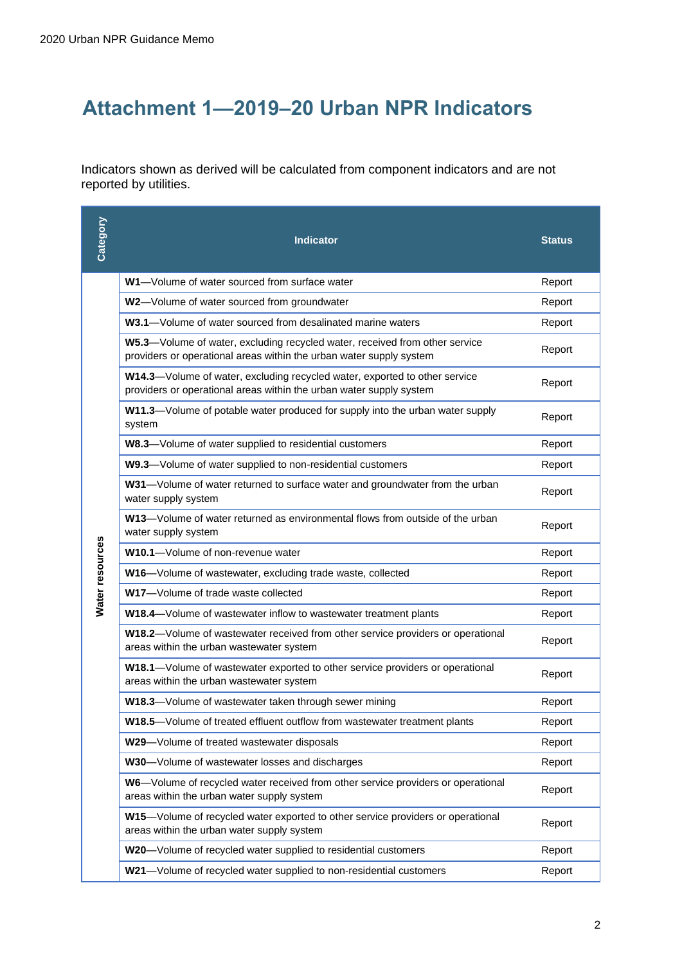# **Attachment 1—2019–20 Urban NPR Indicators**

Indicators shown as derived will be calculated from component indicators and are not reported by utilities.

| Category        | <b>Indicator</b>                                                                                                                                   | <b>Status</b> |
|-----------------|----------------------------------------------------------------------------------------------------------------------------------------------------|---------------|
|                 | W1-Volume of water sourced from surface water                                                                                                      | Report        |
|                 | W2-Volume of water sourced from groundwater                                                                                                        | Report        |
|                 | W3.1-Volume of water sourced from desalinated marine waters                                                                                        | Report        |
|                 | W5.3-Volume of water, excluding recycled water, received from other service<br>providers or operational areas within the urban water supply system | Report        |
|                 | W14.3-Volume of water, excluding recycled water, exported to other service<br>providers or operational areas within the urban water supply system  | Report        |
|                 | W11.3-Volume of potable water produced for supply into the urban water supply<br>system                                                            | Report        |
|                 | W8.3-Volume of water supplied to residential customers                                                                                             | Report        |
|                 | W9.3-Volume of water supplied to non-residential customers                                                                                         | Report        |
|                 | W31-Volume of water returned to surface water and groundwater from the urban<br>water supply system                                                | Report        |
|                 | W13-Volume of water returned as environmental flows from outside of the urban<br>water supply system                                               | Report        |
| Water resources | W10.1-Volume of non-revenue water                                                                                                                  | Report        |
|                 | W16-Volume of wastewater, excluding trade waste, collected                                                                                         | Report        |
|                 | W17-Volume of trade waste collected                                                                                                                | Report        |
|                 | W18.4-Volume of wastewater inflow to wastewater treatment plants                                                                                   | Report        |
|                 | W18.2-Volume of wastewater received from other service providers or operational<br>areas within the urban wastewater system                        | Report        |
|                 | W18.1-Volume of wastewater exported to other service providers or operational<br>areas within the urban wastewater system                          | Report        |
|                 | W18.3-Volume of wastewater taken through sewer mining                                                                                              | Report        |
|                 | W18.5-Volume of treated effluent outflow from wastewater treatment plants                                                                          | Report        |
|                 | W29-Volume of treated wastewater disposals                                                                                                         | Report        |
|                 | W30-Volume of wastewater losses and discharges                                                                                                     | Report        |
|                 | W6-Volume of recycled water received from other service providers or operational<br>areas within the urban water supply system                     | Report        |
|                 | W15-Volume of recycled water exported to other service providers or operational<br>areas within the urban water supply system                      | Report        |
|                 | W20-Volume of recycled water supplied to residential customers                                                                                     | Report        |
|                 | W21-Volume of recycled water supplied to non-residential customers                                                                                 | Report        |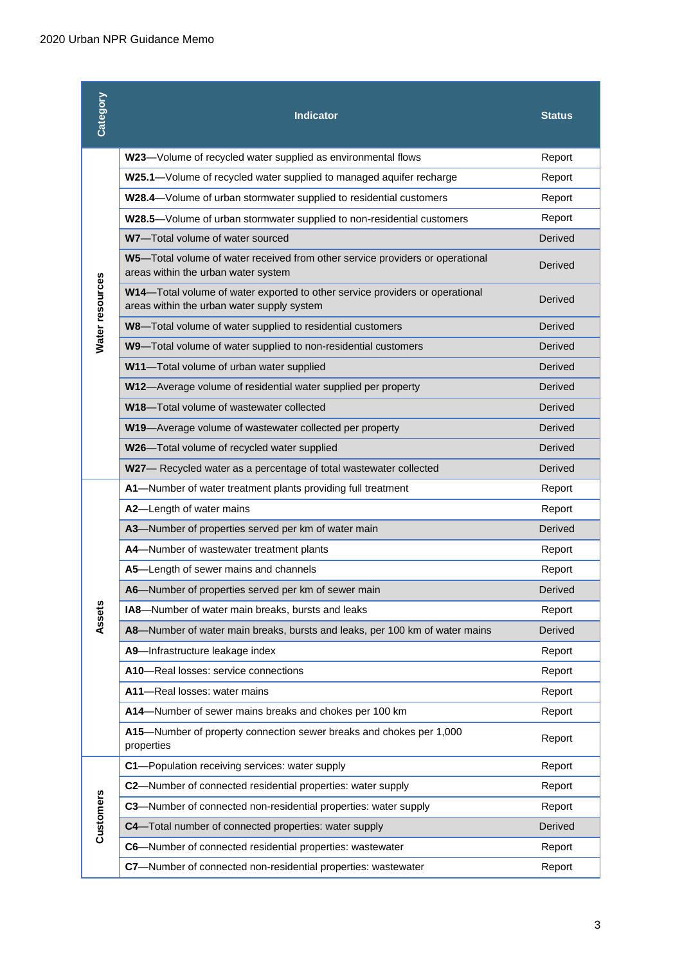| Category        | <b>Indicator</b>                                                                                                           | <b>Status</b> |
|-----------------|----------------------------------------------------------------------------------------------------------------------------|---------------|
|                 | W23-Volume of recycled water supplied as environmental flows                                                               | Report        |
|                 | W25.1-Volume of recycled water supplied to managed aquifer recharge                                                        | Report        |
|                 | W28.4-Volume of urban stormwater supplied to residential customers                                                         | Report        |
|                 | W28.5-Volume of urban stormwater supplied to non-residential customers                                                     | Report        |
|                 | W7-Total volume of water sourced                                                                                           | Derived       |
|                 | W5-Total volume of water received from other service providers or operational<br>areas within the urban water system       | Derived       |
| Water resources | W14-Total volume of water exported to other service providers or operational<br>areas within the urban water supply system | Derived       |
|                 | W8-Total volume of water supplied to residential customers                                                                 | Derived       |
|                 | W9-Total volume of water supplied to non-residential customers                                                             | Derived       |
|                 | W11-Total volume of urban water supplied                                                                                   | Derived       |
|                 | W12-Average volume of residential water supplied per property                                                              | Derived       |
|                 | W18-Total volume of wastewater collected                                                                                   | Derived       |
|                 | W19-Average volume of wastewater collected per property                                                                    | Derived       |
|                 | W26-Total volume of recycled water supplied                                                                                | Derived       |
|                 | W27- Recycled water as a percentage of total wastewater collected                                                          | Derived       |
|                 | A1-Number of water treatment plants providing full treatment                                                               | Report        |
|                 | A2-Length of water mains                                                                                                   | Report        |
|                 | A3-Number of properties served per km of water main                                                                        | Derived       |
|                 | A4-Number of wastewater treatment plants                                                                                   | Report        |
|                 | A5-Length of sewer mains and channels                                                                                      | Report        |
|                 | A6-Number of properties served per km of sewer main                                                                        | Derived       |
| Assets          | IA8-Number of water main breaks, bursts and leaks                                                                          | Report        |
|                 | A8-Number of water main breaks, bursts and leaks, per 100 km of water mains                                                | Derived       |
|                 | A9-Infrastructure leakage index                                                                                            | Report        |
|                 | A10-Real losses: service connections                                                                                       | Report        |
|                 | A11-Real losses: water mains                                                                                               | Report        |
|                 | A14-Number of sewer mains breaks and chokes per 100 km                                                                     | Report        |
|                 | A15-Number of property connection sewer breaks and chokes per 1,000<br>properties                                          | Report        |
|                 | C1-Population receiving services: water supply                                                                             | Report        |
|                 | C2-Number of connected residential properties: water supply                                                                | Report        |
|                 | C3-Number of connected non-residential properties: water supply                                                            | Report        |
| Customers       | C4-Total number of connected properties: water supply                                                                      | Derived       |
|                 | C6-Number of connected residential properties: wastewater                                                                  | Report        |
|                 | C7-Number of connected non-residential properties: wastewater                                                              | Report        |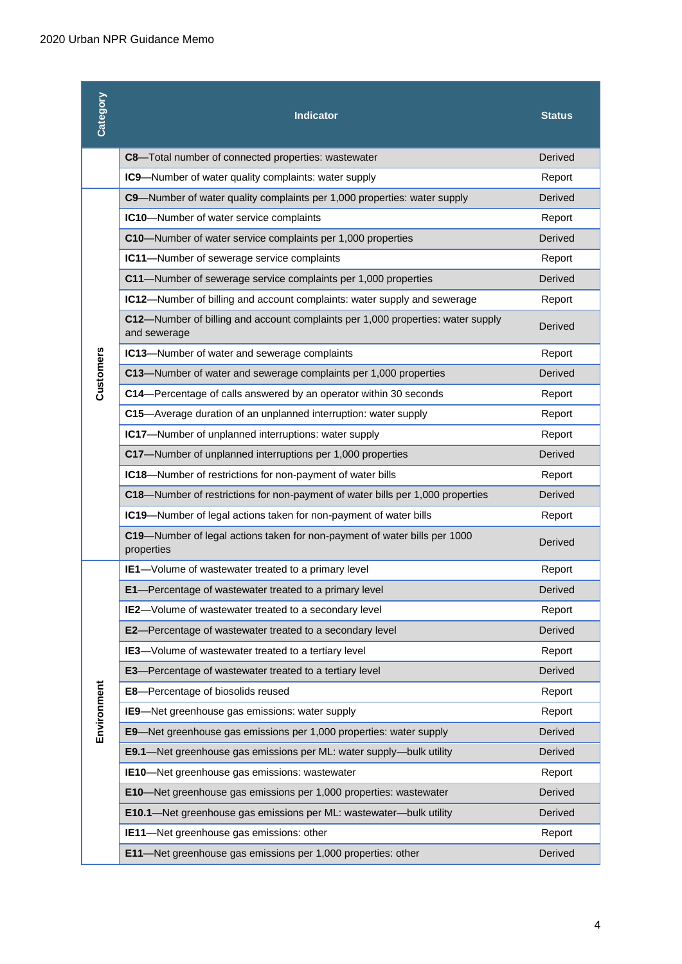| Category    | <b>Indicator</b>                                                                                | <b>Status</b>  |
|-------------|-------------------------------------------------------------------------------------------------|----------------|
|             | C8-Total number of connected properties: wastewater                                             | Derived        |
|             | IC9-Number of water quality complaints: water supply                                            | Report         |
|             | C9-Number of water quality complaints per 1,000 properties: water supply                        | Derived        |
|             | IC10-Number of water service complaints                                                         | Report         |
|             | C10-Number of water service complaints per 1,000 properties                                     | Derived        |
|             | IC11-Number of sewerage service complaints                                                      | Report         |
|             | C11-Number of sewerage service complaints per 1,000 properties                                  | Derived        |
|             | IC12-Number of billing and account complaints: water supply and sewerage                        | Report         |
|             | C12-Number of billing and account complaints per 1,000 properties: water supply<br>and sewerage | Derived        |
|             | IC13-Number of water and sewerage complaints                                                    | Report         |
| Customers   | C13-Number of water and sewerage complaints per 1,000 properties                                | Derived        |
|             | C14-Percentage of calls answered by an operator within 30 seconds                               | Report         |
|             | C15-Average duration of an unplanned interruption: water supply                                 | Report         |
|             | IC17-Number of unplanned interruptions: water supply                                            | Report         |
|             | C17-Number of unplanned interruptions per 1,000 properties                                      | Derived        |
|             | IC18-Number of restrictions for non-payment of water bills                                      | Report         |
|             | C18-Number of restrictions for non-payment of water bills per 1,000 properties                  | Derived        |
|             | IC19-Number of legal actions taken for non-payment of water bills                               | Report         |
|             | C19-Number of legal actions taken for non-payment of water bills per 1000<br>properties         | Derived        |
|             | IE1-Volume of wastewater treated to a primary level                                             | Report         |
|             | E1-Percentage of wastewater treated to a primary level                                          | <b>Derived</b> |
|             | IE2-Volume of wastewater treated to a secondary level                                           | Report         |
|             | E2-Percentage of wastewater treated to a secondary level                                        | Derived        |
|             | <b>IE3</b> -Volume of wastewater treated to a tertiary level                                    | Report         |
|             | <b>E3</b> -Percentage of wastewater treated to a tertiary level                                 | Derived        |
| Environment | E8-Percentage of biosolids reused                                                               | Report         |
|             | IE9-Net greenhouse gas emissions: water supply                                                  | Report         |
|             | E9-Net greenhouse gas emissions per 1,000 properties: water supply                              | Derived        |
|             | E9.1-Net greenhouse gas emissions per ML: water supply-bulk utility                             | Derived        |
|             | IE10-Net greenhouse gas emissions: wastewater                                                   | Report         |
|             | E10-Net greenhouse gas emissions per 1,000 properties: wastewater                               | Derived        |
|             | E10.1-Net greenhouse gas emissions per ML: wastewater-bulk utility                              | Derived        |
|             | IE11-Net greenhouse gas emissions: other                                                        | Report         |
|             | E11-Net greenhouse gas emissions per 1,000 properties: other                                    | Derived        |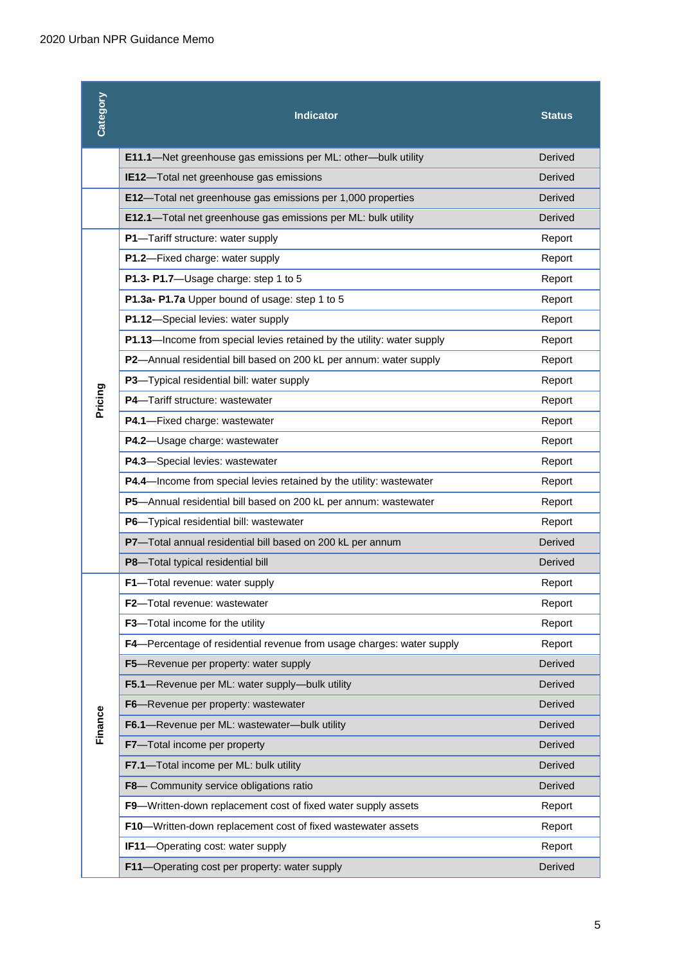| Category | <b>Indicator</b>                                                       | Status  |
|----------|------------------------------------------------------------------------|---------|
|          | E11.1-Net greenhouse gas emissions per ML: other-bulk utility          | Derived |
|          | IE12-Total net greenhouse gas emissions                                | Derived |
|          | E12-Total net greenhouse gas emissions per 1,000 properties            | Derived |
|          | E12.1-Total net greenhouse gas emissions per ML: bulk utility          | Derived |
|          | P1-Tariff structure: water supply                                      | Report  |
|          | P1.2-Fixed charge: water supply                                        | Report  |
|          | P1.3- P1.7-Usage charge: step 1 to 5                                   | Report  |
|          | P1.3a- P1.7a Upper bound of usage: step 1 to 5                         | Report  |
|          | P1.12-Special levies: water supply                                     | Report  |
|          | P1.13-Income from special levies retained by the utility: water supply | Report  |
|          | P2-Annual residential bill based on 200 kL per annum: water supply     | Report  |
|          | P3-Typical residential bill: water supply                              | Report  |
| Pricing  | P4-Tariff structure: wastewater                                        | Report  |
|          | P4.1-Fixed charge: wastewater                                          | Report  |
|          | P4.2-Usage charge: wastewater                                          | Report  |
|          | P4.3-Special levies: wastewater                                        | Report  |
|          | P4.4-Income from special levies retained by the utility: wastewater    | Report  |
|          | P5-Annual residential bill based on 200 kL per annum: wastewater       | Report  |
|          | P6-Typical residential bill: wastewater                                | Report  |
|          | P7-Total annual residential bill based on 200 kL per annum             | Derived |
|          | P8-Total typical residential bill                                      | Derived |
|          | F1-Total revenue: water supply                                         | Report  |
|          | F2-Total revenue: wastewater                                           | Report  |
|          | F3-Total income for the utility                                        | Report  |
|          | F4-Percentage of residential revenue from usage charges: water supply  | Report  |
|          | F5-Revenue per property: water supply                                  | Derived |
|          | F5.1-Revenue per ML: water supply-bulk utility                         | Derived |
|          | F6-Revenue per property: wastewater                                    | Derived |
| Finance  | F6.1-Revenue per ML: wastewater-bulk utility                           | Derived |
|          | F7-Total income per property                                           | Derived |
|          | F7.1-Total income per ML: bulk utility                                 | Derived |
|          | F8- Community service obligations ratio                                | Derived |
|          | F9-Written-down replacement cost of fixed water supply assets          | Report  |
|          | F10-Written-down replacement cost of fixed wastewater assets           | Report  |
|          | IF11-Operating cost: water supply                                      | Report  |
|          | F11-Operating cost per property: water supply                          | Derived |